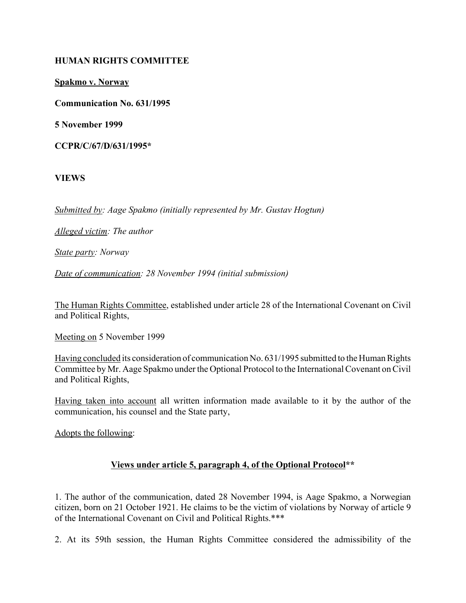### **HUMAN RIGHTS COMMITTEE**

**Spakmo v. Norway**

**Communication No. 631/1995**

**5 November 1999**

**CCPR/C/67/D/631/1995\***

**VIEWS**

*Submitted by: Aage Spakmo (initially represented by Mr. Gustav Hogtun)* 

*Alleged victim: The author*

*State party: Norway*

*Date of communication: 28 November 1994 (initial submission)*

The Human Rights Committee, established under article 28 of the International Covenant on Civil and Political Rights,

Meeting on 5 November 1999

Having concluded its consideration of communication No. 631/1995 submitted to the Human Rights Committee by Mr. Aage Spakmo under the Optional Protocol to the International Covenant on Civil and Political Rights,

Having taken into account all written information made available to it by the author of the communication, his counsel and the State party,

Adopts the following:

## **Views under article 5, paragraph 4, of the Optional Protocol\*\***

1. The author of the communication, dated 28 November 1994, is Aage Spakmo, a Norwegian citizen, born on 21 October 1921. He claims to be the victim of violations by Norway of article 9 of the International Covenant on Civil and Political Rights.\*\*\*

2. At its 59th session, the Human Rights Committee considered the admissibility of the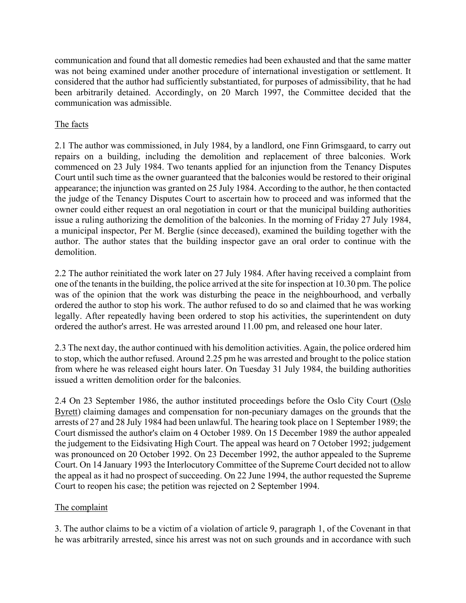communication and found that all domestic remedies had been exhausted and that the same matter was not being examined under another procedure of international investigation or settlement. It considered that the author had sufficiently substantiated, for purposes of admissibility, that he had been arbitrarily detained. Accordingly, on 20 March 1997, the Committee decided that the communication was admissible.

# The facts

2.1 The author was commissioned, in July 1984, by a landlord, one Finn Grimsgaard, to carry out repairs on a building, including the demolition and replacement of three balconies. Work commenced on 23 July 1984. Two tenants applied for an injunction from the Tenancy Disputes Court until such time as the owner guaranteed that the balconies would be restored to their original appearance; the injunction was granted on 25 July 1984. According to the author, he then contacted the judge of the Tenancy Disputes Court to ascertain how to proceed and was informed that the owner could either request an oral negotiation in court or that the municipal building authorities issue a ruling authorizing the demolition of the balconies. In the morning of Friday 27 July 1984, a municipal inspector, Per M. Berglie (since deceased), examined the building together with the author. The author states that the building inspector gave an oral order to continue with the demolition.

2.2 The author reinitiated the work later on 27 July 1984. After having received a complaint from one of the tenants in the building, the police arrived at the site for inspection at 10.30 pm. The police was of the opinion that the work was disturbing the peace in the neighbourhood, and verbally ordered the author to stop his work. The author refused to do so and claimed that he was working legally. After repeatedly having been ordered to stop his activities, the superintendent on duty ordered the author's arrest. He was arrested around 11.00 pm, and released one hour later.

2.3 The next day, the author continued with his demolition activities. Again, the police ordered him to stop, which the author refused. Around 2.25 pm he was arrested and brought to the police station from where he was released eight hours later. On Tuesday 31 July 1984, the building authorities issued a written demolition order for the balconies.

2.4 On 23 September 1986, the author instituted proceedings before the Oslo City Court (Oslo Byrett) claiming damages and compensation for non-pecuniary damages on the grounds that the arrests of 27 and 28 July 1984 had been unlawful. The hearing took place on 1 September 1989; the Court dismissed the author's claim on 4 October 1989. On 15 December 1989 the author appealed the judgement to the Eidsivating High Court. The appeal was heard on 7 October 1992; judgement was pronounced on 20 October 1992. On 23 December 1992, the author appealed to the Supreme Court. On 14 January 1993 the Interlocutory Committee of the Supreme Court decided not to allow the appeal as it had no prospect of succeeding. On 22 June 1994, the author requested the Supreme Court to reopen his case; the petition was rejected on 2 September 1994.

## The complaint

3. The author claims to be a victim of a violation of article 9, paragraph 1, of the Covenant in that he was arbitrarily arrested, since his arrest was not on such grounds and in accordance with such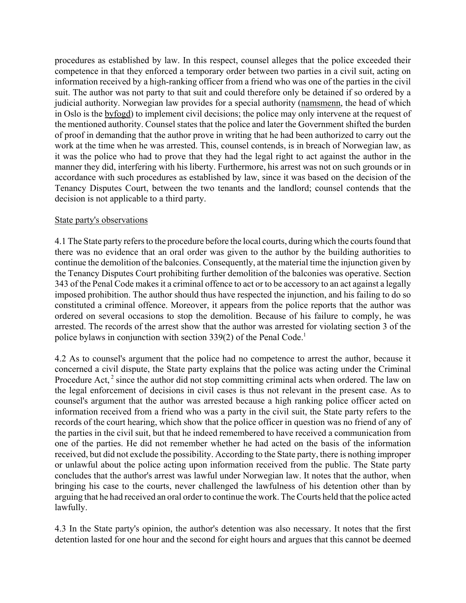procedures as established by law. In this respect, counsel alleges that the police exceeded their competence in that they enforced a temporary order between two parties in a civil suit, acting on information received by a high-ranking officer from a friend who was one of the parties in the civil suit. The author was not party to that suit and could therefore only be detained if so ordered by a judicial authority. Norwegian law provides for a special authority (namsmenn, the head of which in Oslo is the byfogd) to implement civil decisions; the police may only intervene at the request of the mentioned authority. Counsel states that the police and later the Government shifted the burden of proof in demanding that the author prove in writing that he had been authorized to carry out the work at the time when he was arrested. This, counsel contends, is in breach of Norwegian law, as it was the police who had to prove that they had the legal right to act against the author in the manner they did, interfering with his liberty. Furthermore, his arrest was not on such grounds or in accordance with such procedures as established by law, since it was based on the decision of the Tenancy Disputes Court, between the two tenants and the landlord; counsel contends that the decision is not applicable to a third party.

#### State party's observations

4.1 The State party refers to the procedure before the local courts, during which the courts found that there was no evidence that an oral order was given to the author by the building authorities to continue the demolition of the balconies. Consequently, at the material time the injunction given by the Tenancy Disputes Court prohibiting further demolition of the balconies was operative. Section 343 of the Penal Code makes it a criminal offence to act or to be accessory to an act against a legally imposed prohibition. The author should thus have respected the injunction, and his failing to do so constituted a criminal offence. Moreover, it appears from the police reports that the author was ordered on several occasions to stop the demolition. Because of his failure to comply, he was arrested. The records of the arrest show that the author was arrested for violating section 3 of the police bylaws in conjunction with section 339(2) of the Penal Code.<sup>1</sup>

4.2 As to counsel's argument that the police had no competence to arrest the author, because it concerned a civil dispute, the State party explains that the police was acting under the Criminal Procedure Act,<sup>2</sup> since the author did not stop committing criminal acts when ordered. The law on the legal enforcement of decisions in civil cases is thus not relevant in the present case. As to counsel's argument that the author was arrested because a high ranking police officer acted on information received from a friend who was a party in the civil suit, the State party refers to the records of the court hearing, which show that the police officer in question was no friend of any of the parties in the civil suit, but that he indeed remembered to have received a communication from one of the parties. He did not remember whether he had acted on the basis of the information received, but did not exclude the possibility. According to the State party, there is nothing improper or unlawful about the police acting upon information received from the public. The State party concludes that the author's arrest was lawful under Norwegian law. It notes that the author, when bringing his case to the courts, never challenged the lawfulness of his detention other than by arguing that he had received an oral order to continue the work. The Courts held that the police acted lawfully.

4.3 In the State party's opinion, the author's detention was also necessary. It notes that the first detention lasted for one hour and the second for eight hours and argues that this cannot be deemed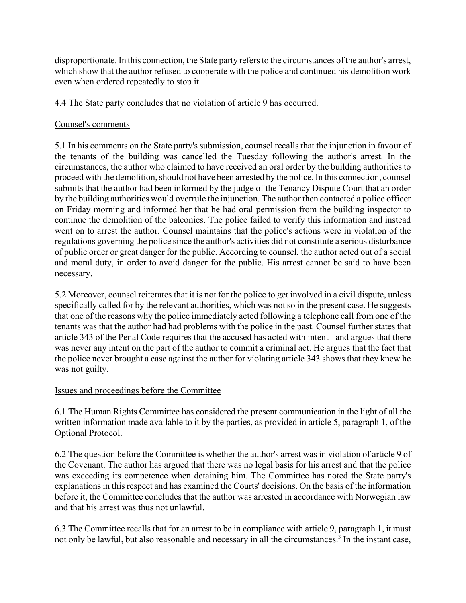disproportionate. In this connection, the State party refers to the circumstances of the author's arrest, which show that the author refused to cooperate with the police and continued his demolition work even when ordered repeatedly to stop it.

4.4 The State party concludes that no violation of article 9 has occurred.

## Counsel's comments

5.1 In his comments on the State party's submission, counsel recalls that the injunction in favour of the tenants of the building was cancelled the Tuesday following the author's arrest. In the circumstances, the author who claimed to have received an oral order by the building authorities to proceed with the demolition, should not have been arrested by the police. In this connection, counsel submits that the author had been informed by the judge of the Tenancy Dispute Court that an order by the building authorities would overrule the injunction. The author then contacted a police officer on Friday morning and informed her that he had oral permission from the building inspector to continue the demolition of the balconies. The police failed to verify this information and instead went on to arrest the author. Counsel maintains that the police's actions were in violation of the regulations governing the police since the author's activities did not constitute a serious disturbance of public order or great danger for the public. According to counsel, the author acted out of a social and moral duty, in order to avoid danger for the public. His arrest cannot be said to have been necessary.

5.2 Moreover, counsel reiterates that it is not for the police to get involved in a civil dispute, unless specifically called for by the relevant authorities, which was not so in the present case. He suggests that one of the reasons why the police immediately acted following a telephone call from one of the tenants was that the author had had problems with the police in the past. Counsel further states that article 343 of the Penal Code requires that the accused has acted with intent - and argues that there was never any intent on the part of the author to commit a criminal act. He argues that the fact that the police never brought a case against the author for violating article 343 shows that they knew he was not guilty.

## Issues and proceedings before the Committee

6.1 The Human Rights Committee has considered the present communication in the light of all the written information made available to it by the parties, as provided in article 5, paragraph 1, of the Optional Protocol.

6.2 The question before the Committee is whether the author's arrest was in violation of article 9 of the Covenant. The author has argued that there was no legal basis for his arrest and that the police was exceeding its competence when detaining him. The Committee has noted the State party's explanations in this respect and has examined the Courts' decisions. On the basis of the information before it, the Committee concludes that the author was arrested in accordance with Norwegian law and that his arrest was thus not unlawful.

6.3 The Committee recalls that for an arrest to be in compliance with article 9, paragraph 1, it must not only be lawful, but also reasonable and necessary in all the circumstances.<sup>3</sup> In the instant case,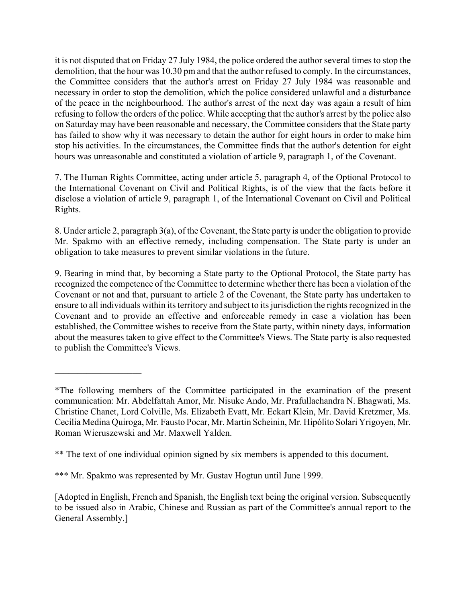it is not disputed that on Friday 27 July 1984, the police ordered the author several times to stop the demolition, that the hour was 10.30 pm and that the author refused to comply. In the circumstances, the Committee considers that the author's arrest on Friday 27 July 1984 was reasonable and necessary in order to stop the demolition, which the police considered unlawful and a disturbance of the peace in the neighbourhood. The author's arrest of the next day was again a result of him refusing to follow the orders of the police. While accepting that the author's arrest by the police also on Saturday may have been reasonable and necessary, the Committee considers that the State party has failed to show why it was necessary to detain the author for eight hours in order to make him stop his activities. In the circumstances, the Committee finds that the author's detention for eight hours was unreasonable and constituted a violation of article 9, paragraph 1, of the Covenant.

7. The Human Rights Committee, acting under article 5, paragraph 4, of the Optional Protocol to the International Covenant on Civil and Political Rights, is of the view that the facts before it disclose a violation of article 9, paragraph 1, of the International Covenant on Civil and Political Rights.

8. Under article 2, paragraph 3(a), of the Covenant, the State party is under the obligation to provide Mr. Spakmo with an effective remedy, including compensation. The State party is under an obligation to take measures to prevent similar violations in the future.

9. Bearing in mind that, by becoming a State party to the Optional Protocol, the State party has recognized the competence of the Committee to determine whether there has been a violation of the Covenant or not and that, pursuant to article 2 of the Covenant, the State party has undertaken to ensure to all individuals within its territory and subject to its jurisdiction the rights recognized in the Covenant and to provide an effective and enforceable remedy in case a violation has been established, the Committee wishes to receive from the State party, within ninety days, information about the measures taken to give effect to the Committee's Views. The State party is also requested to publish the Committee's Views.

 $\mathcal{L}_\text{max}$  , where  $\mathcal{L}_\text{max}$ 

<sup>\*</sup>The following members of the Committee participated in the examination of the present communication: Mr. Abdelfattah Amor, Mr. Nisuke Ando, Mr. Prafullachandra N. Bhagwati, Ms. Christine Chanet, Lord Colville, Ms. Elizabeth Evatt, Mr. Eckart Klein, Mr. David Kretzmer, Ms. Cecilia Medina Quiroga, Mr. Fausto Pocar, Mr. Martin Scheinin, Mr. Hipólito Solari Yrigoyen, Mr. Roman Wieruszewski and Mr. Maxwell Yalden.

<sup>\*\*</sup> The text of one individual opinion signed by six members is appended to this document.

<sup>\*\*\*</sup> Mr. Spakmo was represented by Mr. Gustav Hogtun until June 1999.

<sup>[</sup>Adopted in English, French and Spanish, the English text being the original version. Subsequently to be issued also in Arabic, Chinese and Russian as part of the Committee's annual report to the General Assembly.]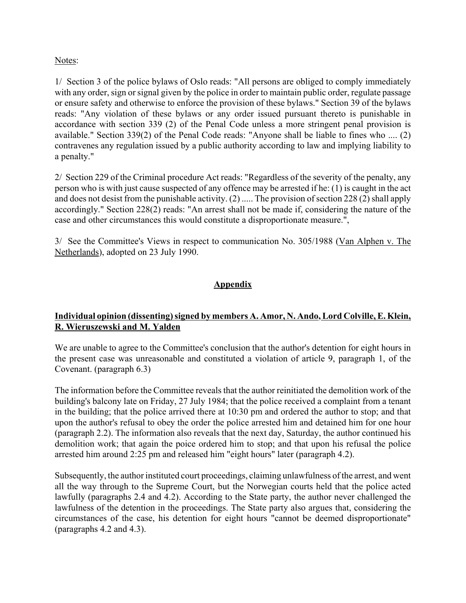#### Notes:

1/ Section 3 of the police bylaws of Oslo reads: "All persons are obliged to comply immediately with any order, sign or signal given by the police in order to maintain public order, regulate passage or ensure safety and otherwise to enforce the provision of these bylaws." Section 39 of the bylaws reads: "Any violation of these bylaws or any order issued pursuant thereto is punishable in accordance with section 339 (2) of the Penal Code unless a more stringent penal provision is available." Section 339(2) of the Penal Code reads: "Anyone shall be liable to fines who .... (2) contravenes any regulation issued by a public authority according to law and implying liability to a penalty."

2/ Section 229 of the Criminal procedure Act reads: "Regardless of the severity of the penalty, any person who is with just cause suspected of any offence may be arrested if he: (1) is caught in the act and does not desist from the punishable activity. (2) ..... The provision of section 228 (2) shall apply accordingly." Section 228(2) reads: "An arrest shall not be made if, considering the nature of the case and other circumstances this would constitute a disproportionate measure.",

3/ See the Committee's Views in respect to communication No. 305/1988 (Van Alphen v. The Netherlands), adopted on 23 July 1990.

## **Appendix**

## **Individual opinion (dissenting) signed by members A. Amor, N. Ando, Lord Colville, E. Klein, R. Wieruszewski and M. Yalden**

We are unable to agree to the Committee's conclusion that the author's detention for eight hours in the present case was unreasonable and constituted a violation of article 9, paragraph 1, of the Covenant. (paragraph 6.3)

The information before the Committee reveals that the author reinitiated the demolition work of the building's balcony late on Friday, 27 July 1984; that the police received a complaint from a tenant in the building; that the police arrived there at 10:30 pm and ordered the author to stop; and that upon the author's refusal to obey the order the police arrested him and detained him for one hour (paragraph 2.2). The information also reveals that the next day, Saturday, the author continued his demolition work; that again the poice ordered him to stop; and that upon his refusal the police arrested him around 2:25 pm and released him "eight hours" later (paragraph 4.2).

Subsequently, the author instituted court proceedings, claiming unlawfulness of the arrest, and went all the way through to the Supreme Court, but the Norwegian courts held that the police acted lawfully (paragraphs 2.4 and 4.2). According to the State party, the author never challenged the lawfulness of the detention in the proceedings. The State party also argues that, considering the circumstances of the case, his detention for eight hours "cannot be deemed disproportionate" (paragraphs 4.2 and 4.3).